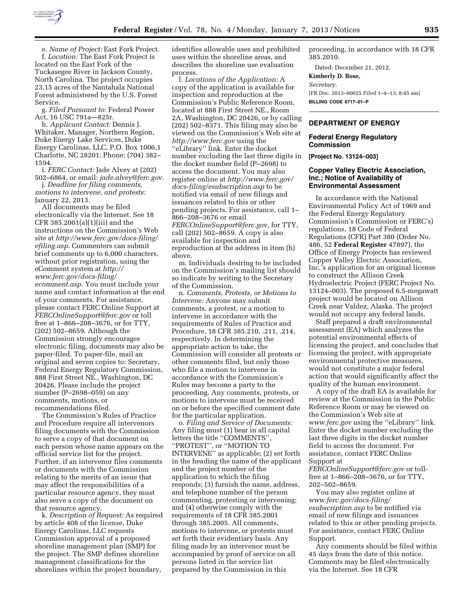

e. *Name of Project:* East Fork Project. f. *Location:* The East Fork Project is located on the East Fork of the Tuckasegee River in Jackson County, North Carolina. The project occupies 23.15 acres of the Nantahala National Forest administered by the U.S. Forest Service.

g. *Filed Pursuant to:* Federal Power Act, 16 USC 791a—825r.

h. *Applicant Contact:* Dennis J. Whitaker, Manager, Northern Region, Duke Energy Lake Services, Duke Energy Carolinas, LLC, P.O. Box 1006,1 Charlotte, NC 28201; Phone: (704) 382– 1594.

i. *FERC Contact:* Jade Alvey at (202) 502–6864, or email: *[jade.alvey@ferc.gov.](mailto:jade.alvey@ferc.gov)* 

j. *Deadline for filing comments, motions to intervene, and protests:*  January 22, 2013.

All documents may be filed electronically via the Internet. See 18 CFR 385.2001(a)(1)(iii) and the instructions on the Commission's Web site at *[http://www.ferc.gov/docs-filing/](http://www.ferc.gov/docs-filing/efiling.asp) [efiling.asp.](http://www.ferc.gov/docs-filing/efiling.asp)* Commenters can submit brief comments up to 6,000 characters, without prior registration, using the eComment system at *[http://](http://www.ferc.gov/docs-filing/ecomment.asp) [www.ferc.gov/docs-filing/](http://www.ferc.gov/docs-filing/ecomment.asp)  [ecomment.asp.](http://www.ferc.gov/docs-filing/ecomment.asp)* You must include your name and contact information at the end of your comments. For assistance, please contact FERC Online Support at *[FERCOnlineSupport@ferc.gov](mailto:FERCOnlineSupport@ferc.gov)* or toll free at 1–866–208–3676, or for TTY, (202) 502–8659. Although the Commission strongly encourages electronic filing, documents may also be paper-filed. To paper-file, mail an original and seven copies to: Secretary, Federal Energy Regulatory Commission, 888 First Street NE., Washington, DC 20426. Please include the project number (P–2698–059) on any comments, motions, or recommendations filed.

The Commission's Rules of Practice and Procedure require all intervenors filing documents with the Commission to serve a copy of that document on each person whose name appears on the official service list for the project. Further, if an intervenor files comments or documents with the Commission relating to the merits of an issue that may affect the responsibilities of a particular resource agency, they must also serve a copy of the document on that resource agency.

k. *Description of Request:* As required by article 408 of the license, Duke Energy Carolinas, LLC requests Commission approval of a proposed shoreline management plan (SMP) for the project. The SMP defines shoreline management classifications for the shorelines within the project boundary,

identifies allowable uses and prohibited uses within the shoreline areas, and describes the shoreline use evaluation process.

l. *Locations of the Application:* A copy of the application is available for inspection and reproduction at the Commission's Public Reference Room, located at 888 First Street NE., Room 2A, Washington, DC 20426, or by calling (202) 502–8371. This filing may also be viewed on the Commission's Web site at *<http://www.ferc.gov>*using the ''eLibrary'' link. Enter the docket number excluding the last three digits in the docket number field (P–2698) to access the document. You may also register online at *[http://www.ferc.gov/](http://www.ferc.gov/docs-filing/esubscription.asp) [docs-filing/esubscription.asp](http://www.ferc.gov/docs-filing/esubscription.asp)* to be notified via email of new filings and issuances related to this or other pending projects. For assistance, call 1– 866–208–3676 or email *[FERCOnlineSupport@ferc.gov,](mailto:FERCOnlineSupport@ferc.gov)* for TTY, call (202) 502–8659. A copy is also available for inspection and reproduction at the address in item (h) above.

m. Individuals desiring to be included on the Commission's mailing list should so indicate by writing to the Secretary of the Commission.

n. *Comments, Protests, or Motions to Intervene:* Anyone may submit comments, a protest, or a motion to intervene in accordance with the requirements of Rules of Practice and Procedure, 18 CFR 385.210, .211, .214, respectively. In determining the appropriate action to take, the Commission will consider all protests or other comments filed, but only those who file a motion to intervene in accordance with the Commission's Rules may become a party to the proceeding. Any comments, protests, or motions to intervene must be received on or before the specified comment date for the particular application.

o. *Filing and Service of Documents:*  Any filing must (1) bear in all capital letters the title ''COMMENTS'', ''PROTEST'', or ''MOTION TO INTERVENE'' as applicable; (2) set forth in the heading the name of the applicant and the project number of the application to which the filing responds; (3) furnish the name, address, and telephone number of the person commenting, protesting or intervening; and (4) otherwise comply with the requirements of 18 CFR 385.2001 through 385.2005. All comments, motions to intervene, or protests must set forth their evidentiary basis. Any filing made by an intervenor must be accompanied by proof of service on all persons listed in the service list prepared by the Commission in this

proceeding, in accordance with 18 CFR 385.2010.

Dated: December 21, 2012.

# **Kimberly D. Bose,**

*Secretary.*  [FR Doc. 2013–00025 Filed 1–4–13; 8:45 am] **BILLING CODE 6717–01–P** 

#### **DEPARTMENT OF ENERGY**

#### **Federal Energy Regulatory Commission**

**[Project No. 13124–003]** 

## **Copper Valley Electric Association, Inc.; Notice of Availability of Environmental Assessment**

In accordance with the National Environmental Policy Act of 1969 and the Federal Energy Regulatory Commission's (Commission or FERC's) regulations, 18 Code of Federal Regulations (CFR) Part 380 (Order No. 486, 52 **Federal Register** 47897), the Office of Energy Projects has reviewed Copper Valley Electric Association, Inc.'s application for an original license to construct the Allison Creek Hydroelectric Project (FERC Project No. 13124–003). The proposed 6.5-megawatt project would be located on Allison Creek near Valdez, Alaska. The project would not occupy any federal lands.

Staff prepared a draft environmental assessment (EA) which analyzes the potential environmental effects of licensing the project, and concludes that licensing the project, with appropriate environmental protective measures, would not constitute a major federal action that would significantly affect the quality of the human environment.

A copy of the draft EA is available for review at the Commission in the Public Reference Room or may be viewed on the Commission's Web site at *[www.ferc.gov](http://www.ferc.gov)* using the ''eLibrary'' link. Enter the docket number excluding the last three digits in the docket number field to access the document. For assistance, contact FERC Online Support at

*[FERCOnlineSupport@ferc.gov](mailto:FERCOnlineSupport@ferc.gov)* or tollfree at 1–866–208–3676, or for TTY, 202–502–8659.

You may also register online at *[www.ferc.gov/docs-filing/](http://www.ferc.gov/docs-filing/esubscription.asp)  [esubscription.asp](http://www.ferc.gov/docs-filing/esubscription.asp)* to be notified via email of new filings and issuances related to this or other pending projects. For assistance, contact FERC Online Support.

Any comments should be filed within 45 days from the date of this notice. Comments may be filed electronically via the Internet. See 18 CFR